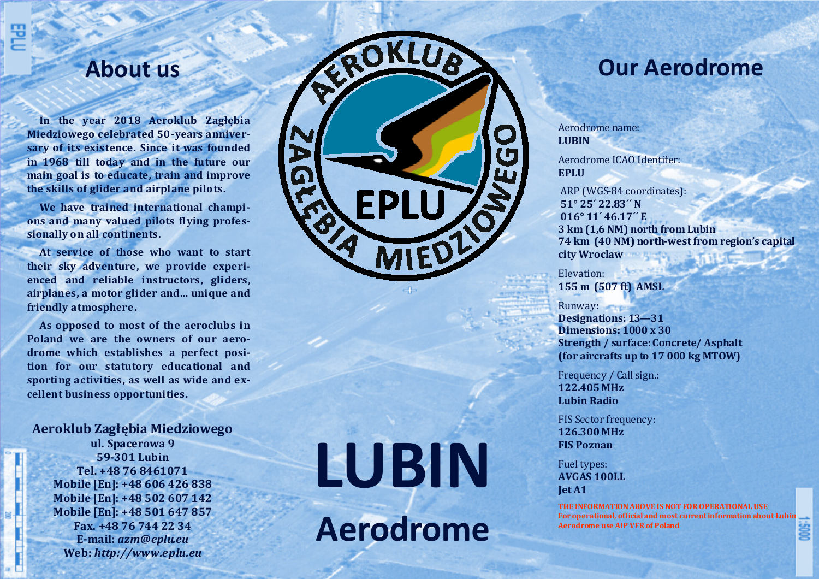### **About us**

**In the year <sup>2018</sup> Aeroklub Zagłębia Miedziowego celebrated 50-years anniversary** of its existence. Since it was founded **in <sup>1968</sup> till today and in the future our main goal is to educate, train and improve the skills of glider and airplane pilots.** 

**We have trained international champi ons and many valued pilots flying profes**sionally on all continents.

**At service of those who want to start their sky adventure**, we provide experi**enced and reliable instructors, <sup>g</sup>liders,**  airplanes, a motor glider and... unique and **friendly atmosphere.** 

As opposed to most of the aeroclubs in **Poland** we are the owners of our aero**drome which establishes <sup>a</sup> perfect position for our statutory educational and**  sporting activities, as well as wide and excellent business opportunities.

**Aeroklub Zagłębia Miedziowego** 

**ul.** Spacerowa 9 **59-301 Lubin Tel. +48 76 8461071 Mobile [En]: +48 606 426 838 Mobile [En]: +48 502 607 142 Mobile [En]: +48 501 647 857 Fax. +48 76 744 22 34 E-mail:** *azm***@***eplu.eu***Web:** *http://www.eplu.eu*

# **LUBIN Aerodrome**

ROKLUB

**EPLU** 

MIEDI

 $\mathbf{z}$ 

 $\boldsymbol{\Omega}$ 

## **Our Aerodrome**

Aerodrome name: **LUBIN**

 $\mathbf{C}$ 

Aerodrome ICAO Identifer: **EPLU** 

ARP (WGS-84 coordinates):  **51° 25´ 22.83´´ N** 016° 11<sup>'</sup> 46.17" E **3** km (1,6 NM) north from Lubin **74 km (40 NM) north-west from region's capital city Wroclaw** 

Elevation: 

**155 m (507 ft) AMSL** 

#### **Runway:**

**Designations: 13-31 Dimensions: 1000 x 30 Strength / surface: Concrete/ Asphalt** (for aircrafts up to 17 000 kg MTOW)

Frequency / Call sign.: **122.405 MHz Lubin Radio** 

FIS Sector frequency: **126.300 MHz FIS Poznan** 

Fuel types: **AVGAS 100LL Jet A1** 

**THE INFORMATION ABOVE IS NOT FOR OPERATIONAL USE** For operational, official and most current information about Lubin **Aerodrome use AIP VFR of Poland** 

000S;1